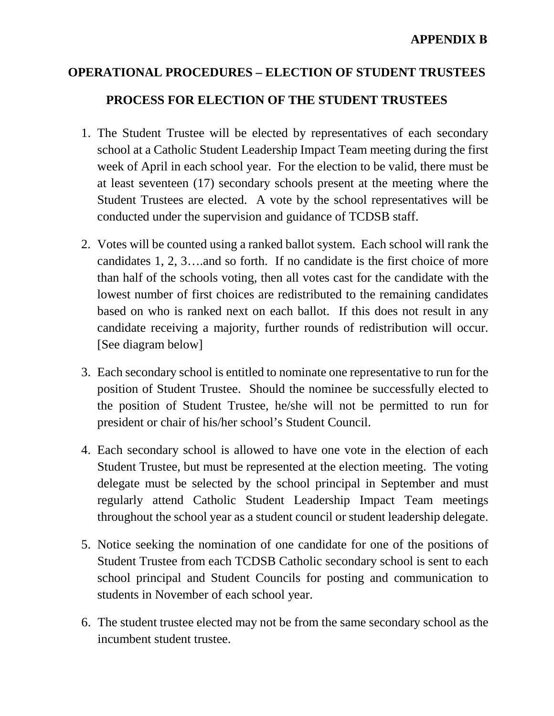## **APPENDIX B**

## **OPERATIONAL PROCEDURES – ELECTION OF STUDENT TRUSTEES PROCESS FOR ELECTION OF THE STUDENT TRUSTEES**

- 1. The Student Trustee will be elected by representatives of each secondary school at a Catholic Student Leadership Impact Team meeting during the first week of April in each school year. For the election to be valid, there must be at least seventeen (17) secondary schools present at the meeting where the Student Trustees are elected. A vote by the school representatives will be conducted under the supervision and guidance of TCDSB staff.
- candidates 1, 2, 3….and so forth. If no candidate is the first choice of more 2. Votes will be counted using a ranked ballot system. Each school will rank the than half of the schools voting, then all votes cast for the candidate with the lowest number of first choices are redistributed to the remaining candidates based on who is ranked next on each ballot. If this does not result in any candidate receiving a majority, further rounds of redistribution will occur. [See diagram below]
- the position of Student Trustee, he/she will not be permitted to run for president or chair of his/her school's Student Council. 3. Each secondary school is entitled to nominate one representative to run for the position of Student Trustee. Should the nominee be successfully elected to
- regularly attend Catholic Student Leadership Impact Team meetings 4. Each secondary school is allowed to have one vote in the election of each Student Trustee, but must be represented at the election meeting. The voting delegate must be selected by the school principal in September and must throughout the school year as a student council or student leadership delegate.
- 5. Notice seeking the nomination of one candidate for one of the positions of students in November of each school year. Student Trustee from each TCDSB Catholic secondary school is sent to each school principal and Student Councils for posting and communication to
- 6. The student trustee elected may not be from the same secondary school as the incumbent student trustee.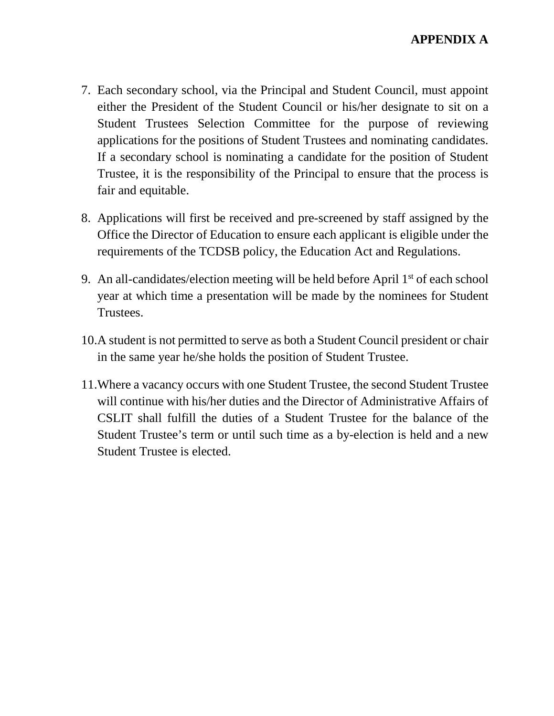- either the President of the Student Council or his/her designate to sit on a Student Trustees Selection Committee for the purpose of reviewing applications for the positions of Student Trustees and nominating candidates. 7. Each secondary school, via the Principal and Student Council, must appoint If a secondary school is nominating a candidate for the position of Student Trustee, it is the responsibility of the Principal to ensure that the process is fair and equitable.
- Office the Director of Education to ensure each applicant is eligible under the requirements of the TCDSB policy, the Education Act and Regulations. 8. Applications will first be received and pre-screened by staff assigned by the
- Trustees. 9. An all-candidates/election meeting will be held before April  $1<sup>st</sup>$  of each school year at which time a presentation will be made by the nominees for Student
- in the same year he/she holds the position of Student Trustee. 10.A student is not permitted to serve as both a Student Council president or chair
- 11. Where a vacancy occurs with one Student Trustee, the second Student Trustee will continue with his/her duties and the Director of Administrative Affairs of CSLIT shall fulfill the duties of a Student Trustee for the balance of the Student Trustee's term or until such time as a by-election is held and a new Student Trustee is elected.